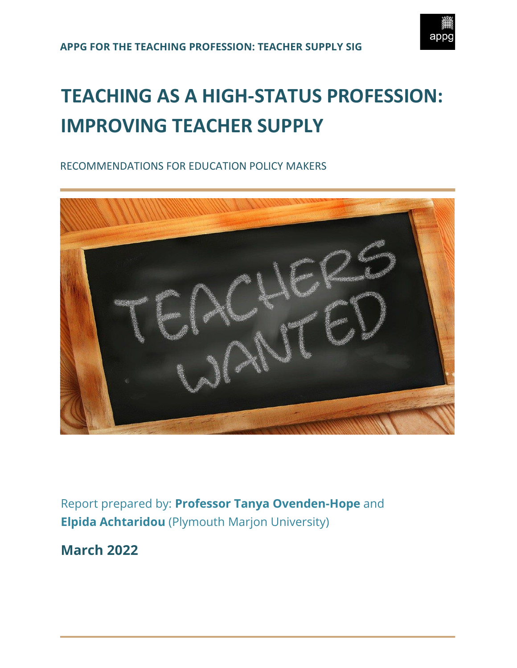

# **TEACHING AS A HIGH-STATUS PROFESSION: IMPROVING TEACHER SUPPLY**

RECOMMENDATIONS FOR EDUCATION POLICY MAKERS



Report prepared by: **Professor Tanya Ovenden-Hope** and **Elpida Achtaridou** (Plymouth Marjon University)

**March 2022**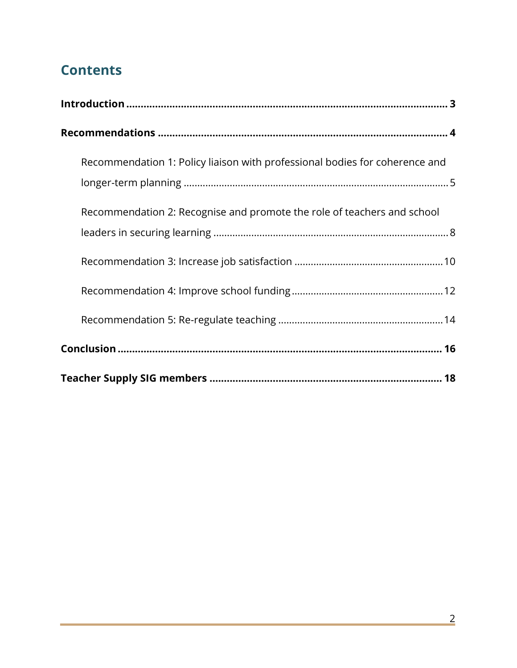## **Contents**

| Recommendation 1: Policy liaison with professional bodies for coherence and |
|-----------------------------------------------------------------------------|
| Recommendation 2: Recognise and promote the role of teachers and school     |
|                                                                             |
|                                                                             |
|                                                                             |
|                                                                             |
|                                                                             |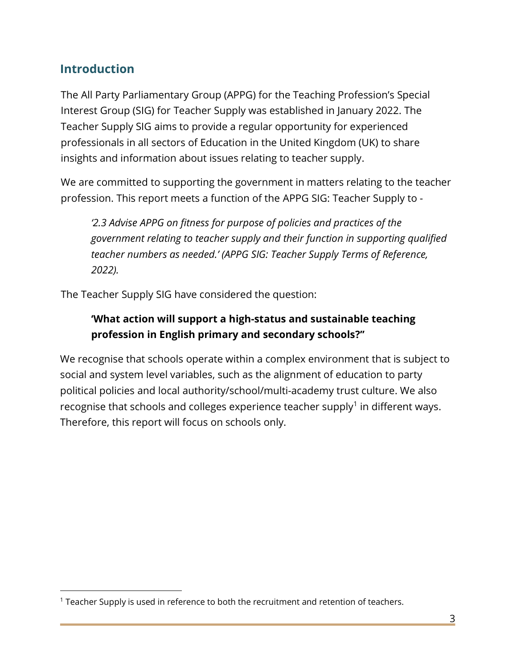## <span id="page-2-0"></span>**Introduction**

The All Party Parliamentary Group (APPG) for the Teaching Profession's Special Interest Group (SIG) for Teacher Supply was established in January 2022. The Teacher Supply SIG aims to provide a regular opportunity for experienced professionals in all sectors of Education in the United Kingdom (UK) to share insights and information about issues relating to teacher supply.

We are committed to supporting the government in matters relating to the teacher profession. This report meets a function of the APPG SIG: Teacher Supply to -

*'2.3 Advise APPG on fitness for purpose of policies and practices of the government relating to teacher supply and their function in supporting qualified teacher numbers as needed.' (APPG SIG: Teacher Supply Terms of Reference, 2022).*

The Teacher Supply SIG have considered the question:

## **'What action will support a high-status and sustainable teaching profession in English primary and secondary schools?''**

We recognise that schools operate within a complex environment that is subject to social and system level variables, such as the alignment of education to party political policies and local authority/school/multi-academy trust culture. We also recognise that schools and colleges experience teacher supply<sup>1</sup> in different ways. Therefore, this report will focus on schools only.

<sup>&</sup>lt;sup>1</sup> Teacher Supply is used in reference to both the recruitment and retention of teachers.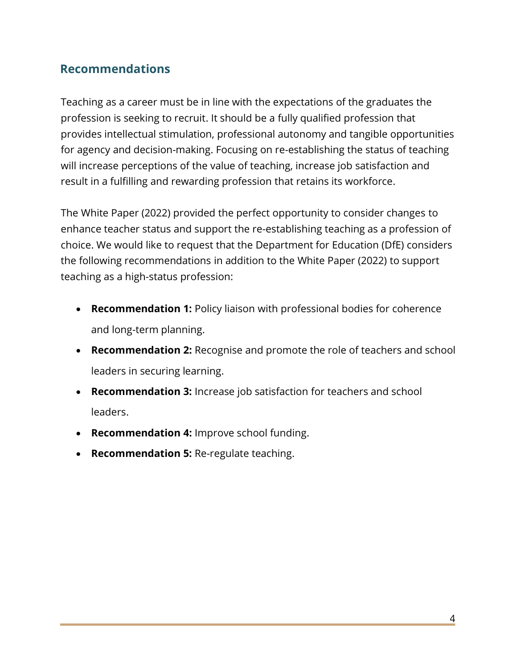## <span id="page-3-0"></span>**Recommendations**

Teaching as a career must be in line with the expectations of the graduates the profession is seeking to recruit. It should be a fully qualified profession that provides intellectual stimulation, professional autonomy and tangible opportunities for agency and decision-making. Focusing on re-establishing the status of teaching will increase perceptions of the value of teaching, increase job satisfaction and result in a fulfilling and rewarding profession that retains its workforce.

The White Paper (2022) provided the perfect opportunity to consider changes to enhance teacher status and support the re-establishing teaching as a profession of choice. We would like to request that the Department for Education (DfE) considers the following recommendations in addition to the White Paper (2022) to support teaching as a high-status profession:

- **Recommendation 1:** Policy liaison with professional bodies for coherence and long-term planning.
- **Recommendation 2:** Recognise and promote the role of teachers and school leaders in securing learning.
- **Recommendation 3:** Increase job satisfaction for teachers and school leaders.
- **Recommendation 4:** Improve school funding.
- **Recommendation 5:** Re-regulate teaching.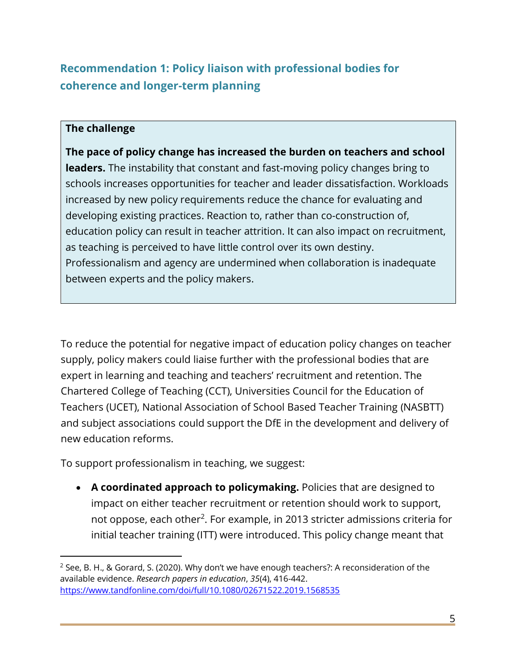## <span id="page-4-0"></span>**Recommendation 1: Policy liaison with professional bodies for coherence and longer-term planning**

#### **The challenge**

**The pace of policy change has increased the burden on teachers and school leaders.** The instability that constant and fast-moving policy changes bring to schools increases opportunities for teacher and leader dissatisfaction. Workloads increased by new policy requirements reduce the chance for evaluating and developing existing practices. Reaction to, rather than co-construction of, education policy can result in teacher attrition. It can also impact on recruitment, as teaching is perceived to have little control over its own destiny. Professionalism and agency are undermined when collaboration is inadequate between experts and the policy makers.

To reduce the potential for negative impact of education policy changes on teacher supply, policy makers could liaise further with the professional bodies that are expert in learning and teaching and teachers' recruitment and retention. The Chartered College of Teaching (CCT), Universities Council for the Education of Teachers (UCET), National Association of School Based Teacher Training (NASBTT) and subject associations could support the DfE in the development and delivery of new education reforms.

To support professionalism in teaching, we suggest:

• **A coordinated approach to policymaking.** Policies that are designed to impact on either teacher recruitment or retention should work to support, not oppose, each other<sup>2</sup>. For example, in 2013 stricter admissions criteria for initial teacher training (ITT) were introduced. This policy change meant that

<sup>&</sup>lt;sup>2</sup> See, B. H., & Gorard, S. (2020). Why don't we have enough teachers?: A reconsideration of the available evidence. *Research papers in education*, *35*(4), 416-442. <https://www.tandfonline.com/doi/full/10.1080/02671522.2019.1568535>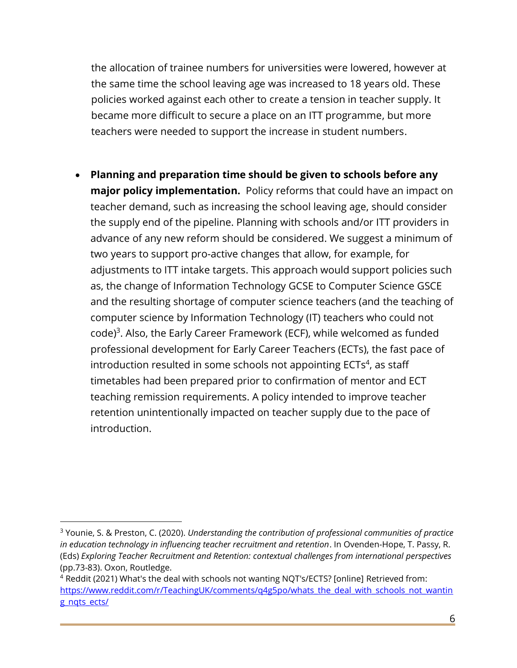the allocation of trainee numbers for universities were lowered, however at the same time the school leaving age was increased to 18 years old. These policies worked against each other to create a tension in teacher supply. It became more difficult to secure a place on an ITT programme, but more teachers were needed to support the increase in student numbers.

• **Planning and preparation time should be given to schools before any major policy implementation.** Policy reforms that could have an impact on teacher demand, such as increasing the school leaving age, should consider the supply end of the pipeline. Planning with schools and/or ITT providers in advance of any new reform should be considered. We suggest a minimum of two years to support pro-active changes that allow, for example, for adjustments to ITT intake targets. This approach would support policies such as, the change of Information Technology GCSE to Computer Science GSCE and the resulting shortage of computer science teachers (and the teaching of computer science by Information Technology (IT) teachers who could not code)<sup>3</sup>. Also, the Early Career Framework (ECF), while welcomed as funded professional development for Early Career Teachers (ECTs), the fast pace of introduction resulted in some schools not appointing  $ECTs<sup>4</sup>$ , as staff timetables had been prepared prior to confirmation of mentor and ECT teaching remission requirements. A policy intended to improve teacher retention unintentionally impacted on teacher supply due to the pace of introduction.

<sup>3</sup> Younie, S. & Preston, C. (2020). *Understanding the contribution of professional communities of practice in education technology in influencing teacher recruitment and retention*. In Ovenden-Hope, T. Passy, R. (Eds) *Exploring Teacher Recruitment and Retention: contextual challenges from international perspectives* (pp.73-83). Oxon, Routledge.

<sup>4</sup> Reddit (2021) What's the deal with schools not wanting NQT's/ECTS? [online] Retrieved from: [https://www.reddit.com/r/TeachingUK/comments/q4g5po/whats\\_the\\_deal\\_with\\_schools\\_not\\_wantin](https://www.reddit.com/r/TeachingUK/comments/q4g5po/whats_the_deal_with_schools_not_wanting_nqts_ects/)\_ [g\\_nqts\\_ects/](https://www.reddit.com/r/TeachingUK/comments/q4g5po/whats_the_deal_with_schools_not_wanting_nqts_ects/)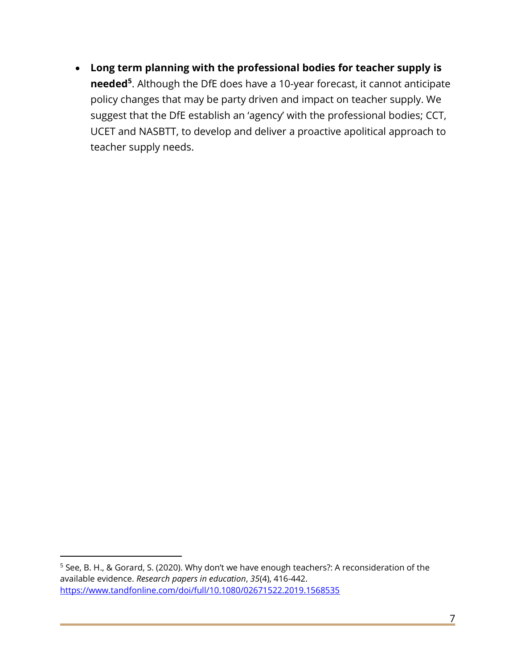• **Long term planning with the professional bodies for teacher supply is needed<sup>5</sup>** . Although the DfE does have a 10-year forecast, it cannot anticipate policy changes that may be party driven and impact on teacher supply. We suggest that the DfE establish an 'agency' with the professional bodies; CCT, UCET and NASBTT, to develop and deliver a proactive apolitical approach to teacher supply needs.

<sup>5</sup> See, B. H., & Gorard, S. (2020). Why don't we have enough teachers?: A reconsideration of the available evidence. *Research papers in education*, *35*(4), 416-442. <https://www.tandfonline.com/doi/full/10.1080/02671522.2019.1568535>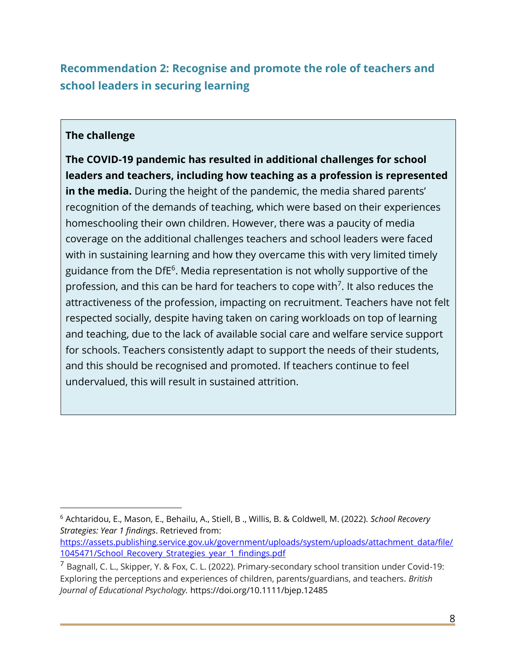## <span id="page-7-0"></span>**Recommendation 2: Recognise and promote the role of teachers and school leaders in securing learning**

#### **The challenge**

**The COVID-19 pandemic has resulted in additional challenges for school leaders and teachers, including how teaching as a profession is represented in the media.** During the height of the pandemic, the media shared parents' recognition of the demands of teaching, which were based on their experiences homeschooling their own children. However, there was a paucity of media coverage on the additional challenges teachers and school leaders were faced with in sustaining learning and how they overcame this with very limited timely guidance from the DfE<sup>6</sup>. Media representation is not wholly supportive of the profession, and this can be hard for teachers to cope with<sup>7</sup>. It also reduces the attractiveness of the profession, impacting on recruitment. Teachers have not felt respected socially, despite having taken on caring workloads on top of learning and teaching, due to the lack of available social care and welfare service support for schools. Teachers consistently adapt to support the needs of their students, and this should be recognised and promoted. If teachers continue to feel undervalued, this will result in sustained attrition.

<sup>6</sup> Achtaridou, E., Mason, E., Behailu, A., Stiell, B ., Willis, B. & Coldwell, M. (2022). *School Recovery Strategies: Year 1 findings*. Retrieved from:

[https://assets.publishing.service.gov.uk/government/uploads/system/uploads/attachment\\_data/file/](https://assets.publishing.service.gov.uk/government/uploads/system/uploads/attachment_data/file/1045471/School_Recovery_Strategies_year_1_findings.pdf) 1045471/School Recovery Strategies year 1 findings.pdf

 $^7$  Bagnall, C. L., Skipper, Y. & Fox, C. L. (2022). Primary-secondary school transition under Covid-19: Exploring the perceptions and experiences of children, parents/guardians, and teachers. *British Journal of Educational Psychology.* <https://doi.org/10.1111/bjep.12485>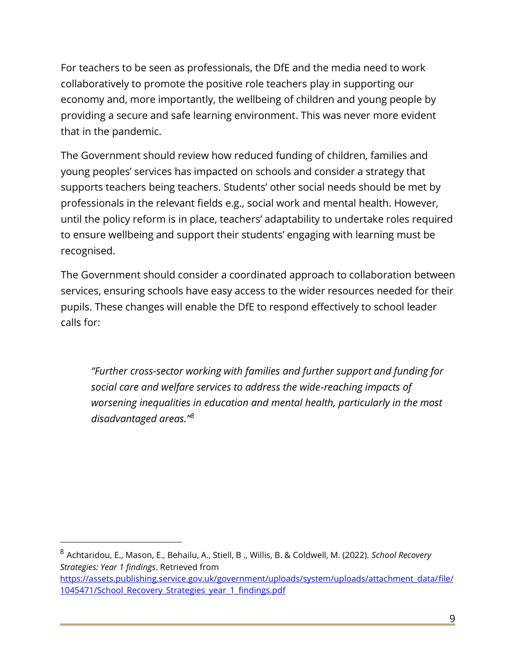For teachers to be seen as professionals, the DfE and the media need to work collaboratively to promote the positive role teachers play in supporting our economy and, more importantly, the wellbeing of children and young people by providing a secure and safe learning environment. This was never more evident that in the pandemic.

The Government should review how reduced funding of children, families and young peoples' services has impacted on schools and consider a strategy that supports teachers being teachers. Students' other social needs should be met by professionals in the relevant fields e.g., social work and mental health. However, until the policy reform is in place, teachers' adaptability to undertake roles required to ensure wellbeing and support their students' engaging with learning must be recognised.

The Government should consider a coordinated approach to collaboration between services, ensuring schools have easy access to the wider resources needed for their pupils. These changes will enable the DfE to respond effectively to school leader calls for:

*"Further cross-sector working with families and further support and funding for social care and welfare services to address the wide-reaching impacts of worsening inequalities in education and mental health, particularly in the most disadvantaged areas."<sup>8</sup>*

<sup>8</sup> Achtaridou, E., Mason, E., Behailu, A., Stiell, B ., Willis, B. & Coldwell, M. (2022). *School Recovery Strategies: Year 1 findings*. Retrieved from [https://assets.publishing.service.gov.uk/government/uploads/system/uploads/attachment\\_data/file/](https://assets.publishing.service.gov.uk/government/uploads/system/uploads/attachment_data/file/1045471/School_Recovery_Strategies_year_1_findings.pdf) [1045471/School\\_Recovery\\_Strategies\\_year\\_1\\_findings.pdf](https://assets.publishing.service.gov.uk/government/uploads/system/uploads/attachment_data/file/1045471/School_Recovery_Strategies_year_1_findings.pdf)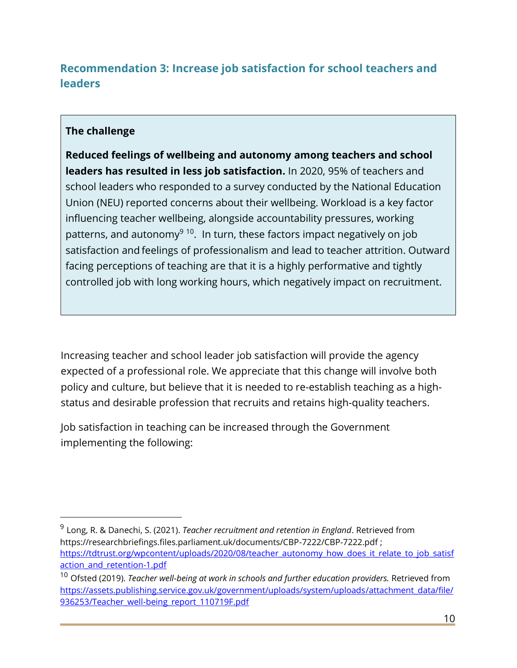## <span id="page-9-0"></span>**Recommendation 3: Increase job satisfaction for school teachers and leaders**

#### **The challenge**

**Reduced feelings of wellbeing and autonomy among teachers and school leaders has resulted in less job satisfaction.** In 2020, 95% of teachers and school leaders who responded to a survey conducted by the National Education Union (NEU) reported concerns about their wellbeing. Workload is a key factor influencing teacher wellbeing, alongside accountability pressures, working patterns, and autonomy<sup>9 10</sup>. In turn, these factors impact negatively on job satisfaction and feelings of professionalism and lead to teacher attrition. Outward facing perceptions of teaching are that it is a highly performative and tightly controlled job with long working hours, which negatively impact on recruitment.

Increasing teacher and school leader job satisfaction will provide the agency expected of a professional role. We appreciate that this change will involve both policy and culture, but believe that it is needed to re-establish teaching as a highstatus and desirable profession that recruits and retains high-quality teachers.

Job satisfaction in teaching can be increased through the Government implementing the following:

<sup>9</sup> Long, R. & Danechi, S. (2021). *Teacher recruitment and retention in England*. Retrieved from <https://researchbriefings.files.parliament.uk/documents/CBP-7222/CBP-7222.pdf> ; [https://tdtrust.org/wpcontent/uploads/2020/08/teacher\\_autonomy\\_how\\_does\\_it\\_relate\\_to\\_job\\_satisf](https://tdtrust.org/wpcontent/uploads/2020/08/teacher_autonomy_how_does_it_relate_to_job_satisfaction_and_retention-1.pdf) action and retention-1.pdf

<sup>&</sup>lt;sup>10</sup> Ofsted (2019). *Teacher well-being at work in schools and further education providers.* Retrieved from [https://assets.publishing.service.gov.uk/government/uploads/system/uploads/attachment\\_data/file/](https://assets.publishing.service.gov.uk/government/uploads/system/uploads/attachment_data/file/936253/Teacher_well-being_report_110719F.pdf) [936253/Teacher\\_well-being\\_report\\_110719F.pdf](https://assets.publishing.service.gov.uk/government/uploads/system/uploads/attachment_data/file/936253/Teacher_well-being_report_110719F.pdf)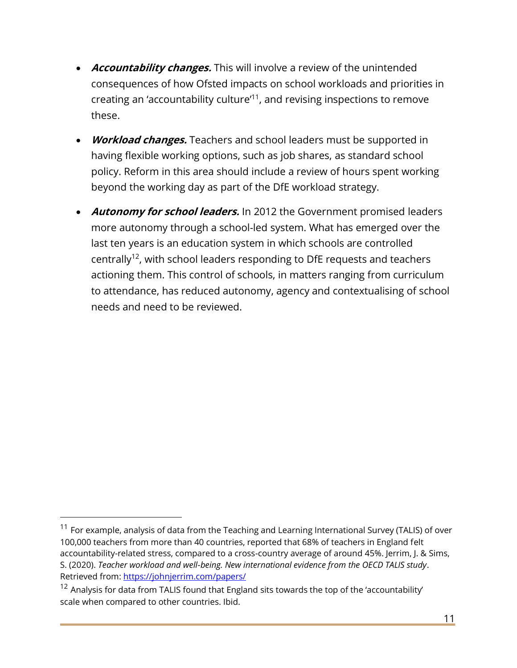- **Accountability changes.** This will involve a review of the unintended consequences of how Ofsted impacts on school workloads and priorities in creating an 'accountability culture'<sup>11</sup>, and revising inspections to remove these.
- **Workload changes.** Teachers and school leaders must be supported in having flexible working options, such as job shares, as standard school policy. Reform in this area should include a review of hours spent working beyond the working day as part of the DfE workload strategy.
- **Autonomy for school leaders.** In 2012 the Government promised leaders more autonomy through a school-led system. What has emerged over the last ten years is an education system in which schools are controlled centrally<sup>12</sup>, with school leaders responding to DfE requests and teachers actioning them. This control of schools, in matters ranging from curriculum to attendance, has reduced autonomy, agency and contextualising of school needs and need to be reviewed.

 $11$  For example, analysis of data from the Teaching and Learning International Survey (TALIS) of over 100,000 teachers from more than 40 countries, reported that 68% of teachers in England felt accountability-related stress, compared to a cross-country average of around 45%. Jerrim, J. & Sims, S. (2020). *Teacher workload and well-being. New international evidence from the OECD TALIS study*. Retrieved from:<https://johnjerrim.com/papers/>

 $12$  Analysis for data from TALIS found that England sits towards the top of the 'accountability' scale when compared to other countries. Ibid.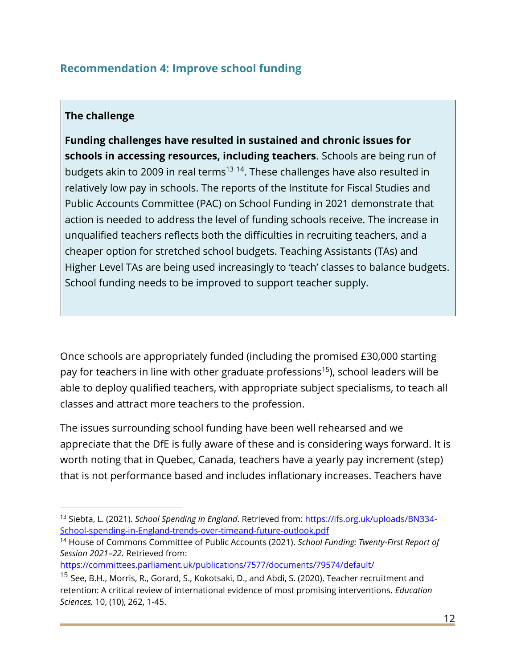## <span id="page-11-0"></span>**Recommendation 4: Improve school funding**

#### **The challenge**

**Funding challenges have resulted in sustained and chronic issues for schools in accessing resources, including teachers**. Schools are being run of budgets akin to 2009 in real terms<sup>13 14</sup>. These challenges have also resulted in relatively low pay in schools. The reports of the Institute for Fiscal Studies and Public Accounts Committee (PAC) on School Funding in 2021 demonstrate that action is needed to address the level of funding schools receive. The increase in unqualified teachers reflects both the difficulties in recruiting teachers, and a cheaper option for stretched school budgets. Teaching Assistants (TAs) and Higher Level TAs are being used increasingly to 'teach' classes to balance budgets. School funding needs to be improved to support teacher supply.

Once schools are appropriately funded (including the promised £30,000 starting pay for teachers in line with other graduate professions<sup>15</sup>), school leaders will be able to deploy qualified teachers, with appropriate subject specialisms, to teach all classes and attract more teachers to the profession.

The issues surrounding school funding have been well rehearsed and we appreciate that the DfE is fully aware of these and is considering ways forward. It is worth noting that in Quebec, Canada, teachers have a yearly pay increment (step) that is not performance based and includes inflationary increases. Teachers have

<https://committees.parliament.uk/publications/7577/documents/79574/default/>

<sup>&</sup>lt;sup>13</sup> Siebta, L. (2021). *School Spending in England*. Retrieved from: [https://ifs.org.uk/uploads/BN334-](https://ifs.org.uk/uploads/BN334-School-spending-in-England-trends-over-timeand-future-outlook.pdf) [School-spending-in-England-trends-over-timeand-future-outlook.pdf](https://ifs.org.uk/uploads/BN334-School-spending-in-England-trends-over-timeand-future-outlook.pdf) 

<sup>14</sup> House of Commons Committee of Public Accounts (2021). *School Funding: Twenty-First Report of Session 2021–22.* Retrieved from:

<sup>&</sup>lt;sup>15</sup> See, B.H., Morris, R., Gorard, S., Kokotsaki, D., and Abdi, S. (2020). Teacher recruitment and retention: A critical review of international evidence of most promising interventions. *Education Sciences,* 10, (10), 262, 1-45.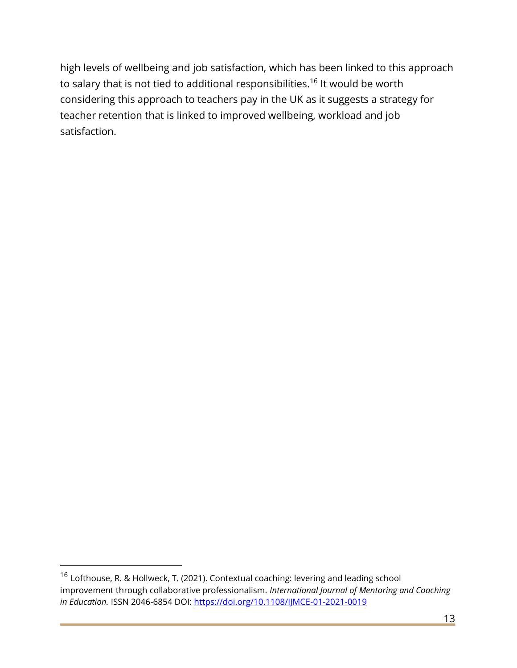high levels of wellbeing and job satisfaction, which has been linked to this approach to salary that is not tied to additional responsibilities.<sup>16</sup> It would be worth considering this approach to teachers pay in the UK as it suggests a strategy for teacher retention that is linked to improved wellbeing, workload and job satisfaction.

<sup>16</sup> Lofthouse, R. & Hollweck, T. (2021). Contextual coaching: levering and leading school improvement through collaborative professionalism. *International Journal of Mentoring and Coaching in Education.* ISSN 2046-6854 DOI[: https://doi.org/10.1108/IJMCE-01-2021-0019](https://doi.org/10.1108/IJMCE-01-2021-0019)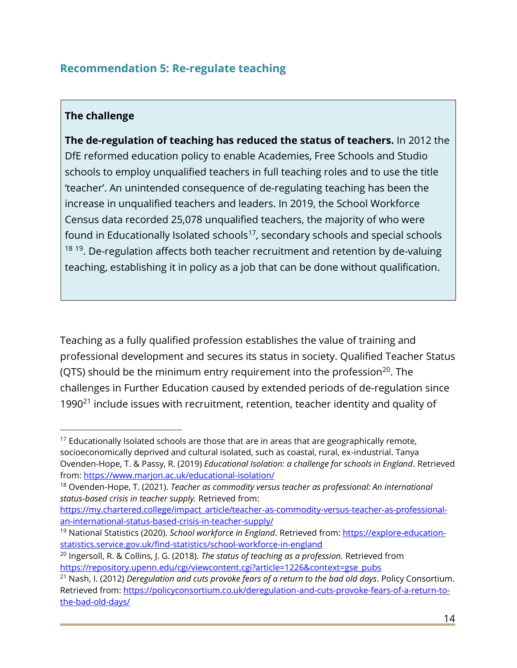## <span id="page-13-0"></span>**Recommendation 5: Re-regulate teaching**

#### **The challenge**

**The de-regulation of teaching has reduced the status of teachers.** In 2012 the DfE reformed education policy to enable Academies, Free Schools and Studio schools to employ unqualified teachers in full teaching roles and to use the title 'teacher'. An unintended consequence of de-regulating teaching has been the increase in unqualified teachers and leaders. In 2019, the School Workforce Census data recorded 25,078 unqualified teachers, the majority of who were found in Educationally Isolated schools $17$ , secondary schools and special schools <sup>18 19</sup>. De-regulation affects both teacher recruitment and retention by de-valuing teaching, establishing it in policy as a job that can be done without qualification.

Teaching as a fully qualified profession establishes the value of training and professional development and secures its status in society. Qualified Teacher Status (QTS) should be the minimum entry requirement into the profession<sup>20</sup>. The challenges in Further Education caused by extended periods of de-regulation since 1990 $^{21}$  include issues with recruitment, retention, teacher identity and quality of

 $17$  Educationally Isolated schools are those that are in areas that are geographically remote, socioeconomically deprived and cultural isolated, such as coastal, rural, ex-industrial. Tanya Ovenden-Hope, T. & Passy, R. (2019) *Educational Isolation: a challenge for schools in England*. Retrieved from: <https://www.marjon.ac.uk/educational-isolation/>

<sup>18</sup> Ovenden-Hope, T. (2021). *Teacher as commodity versus teacher as professional: An international status-based crisis in teacher supply.* Retrieved from:

[https://my.chartered.college/impact\\_article/teacher-as-commodity-versus-teacher-as-professional](https://my.chartered.college/impact_article/teacher-as-commodity-versus-teacher-as-professional-an-international-status-based-crisis-in-teacher-supply/)[an-international-status-based-crisis-in-teacher-supply/](https://my.chartered.college/impact_article/teacher-as-commodity-versus-teacher-as-professional-an-international-status-based-crisis-in-teacher-supply/)

<sup>&</sup>lt;sup>19</sup> National Statistics (2020). *School workforce in England*. Retrieved from: [https://explore-education](https://explore-education-statistics.service.gov.uk/find-statistics/school-workforce-in-england)[statistics.service.gov.uk/find-statistics/school-workforce-in-england](https://explore-education-statistics.service.gov.uk/find-statistics/school-workforce-in-england)

<sup>20</sup> Ingersoll, R. & Collins, J. G. (2018). *The status of teaching as a profession.* Retrieved from https://repository.upenn.edu/cgi/viewcontent.cgi?article=1226&context=gse\_pubs

<sup>21</sup> Nash, I. (2012) *Deregulation and cuts provoke fears of a return to the bad old days*. Policy Consortium. Retrieved from: [https://policyconsortium.co.uk/deregulation-and-cuts-provoke-fears-of-a-return-to](https://policyconsortium.co.uk/deregulation-and-cuts-provoke-fears-of-a-return-to-the-bad-old-days/)[the-bad-old-days/](https://policyconsortium.co.uk/deregulation-and-cuts-provoke-fears-of-a-return-to-the-bad-old-days/)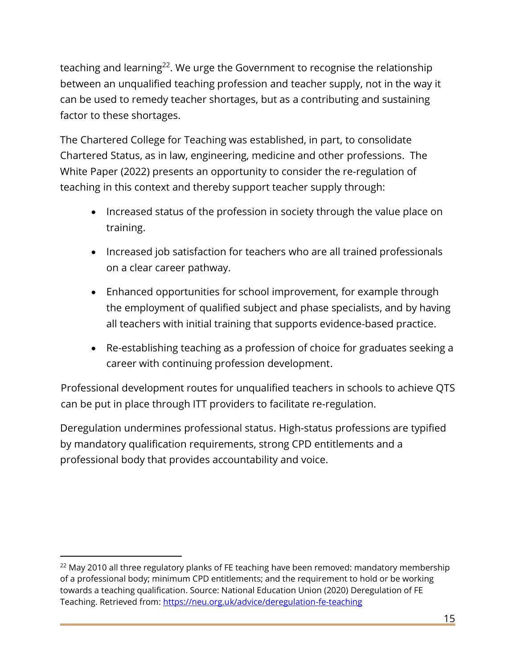teaching and learning<sup>22</sup>. We urge the Government to recognise the relationship between an unqualified teaching profession and teacher supply, not in the way it can be used to remedy teacher shortages, but as a contributing and sustaining factor to these shortages.

The Chartered College for Teaching was established, in part, to consolidate Chartered Status, as in law, engineering, medicine and other professions. The White Paper (2022) presents an opportunity to consider the re-regulation of teaching in this context and thereby support teacher supply through:

- Increased status of the profession in society through the value place on training.
- Increased job satisfaction for teachers who are all trained professionals on a clear career pathway.
- Enhanced opportunities for school improvement, for example through the employment of qualified subject and phase specialists, and by having all teachers with initial training that supports evidence-based practice.
- Re-establishing teaching as a profession of choice for graduates seeking a career with continuing profession development.

Professional development routes for unqualified teachers in schools to achieve QTS can be put in place through ITT providers to facilitate re-regulation.

Deregulation undermines professional status. High-status professions are typified by mandatory qualification requirements, strong CPD entitlements and a professional body that provides accountability and voice.

 $22$  May 2010 all three regulatory planks of FE teaching have been removed: mandatory membership of a professional body; minimum CPD entitlements; and the requirement to hold or be working towards a teaching qualification. Source: National Education Union (2020) Deregulation of FE Teaching. Retrieved from:<https://neu.org.uk/advice/deregulation-fe-teaching>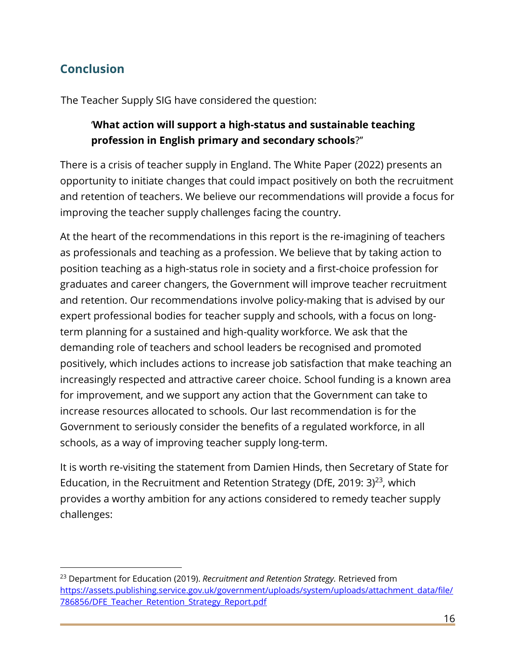## <span id="page-15-0"></span>**Conclusion**

The Teacher Supply SIG have considered the question:

## '**What action will support a high-status and sustainable teaching profession in English primary and secondary schools**?''

There is a crisis of teacher supply in England. The White Paper (2022) presents an opportunity to initiate changes that could impact positively on both the recruitment and retention of teachers. We believe our recommendations will provide a focus for improving the teacher supply challenges facing the country.

At the heart of the recommendations in this report is the re-imagining of teachers as professionals and teaching as a profession. We believe that by taking action to position teaching as a high-status role in society and a first-choice profession for graduates and career changers, the Government will improve teacher recruitment and retention. Our recommendations involve policy-making that is advised by our expert professional bodies for teacher supply and schools, with a focus on longterm planning for a sustained and high-quality workforce. We ask that the demanding role of teachers and school leaders be recognised and promoted positively, which includes actions to increase job satisfaction that make teaching an increasingly respected and attractive career choice. School funding is a known area for improvement, and we support any action that the Government can take to increase resources allocated to schools. Our last recommendation is for the Government to seriously consider the benefits of a regulated workforce, in all schools, as a way of improving teacher supply long-term.

It is worth re-visiting the statement from Damien Hinds, then Secretary of State for Education, in the Recruitment and Retention Strategy (DfE, 2019: 3) $^{23}$ , which provides a worthy ambition for any actions considered to remedy teacher supply challenges:

<sup>23</sup> Department for Education (2019). *Recruitment and Retention Strategy.* Retrieved from [https://assets.publishing.service.gov.uk/government/uploads/system/uploads/attachment\\_data/file/](https://assets.publishing.service.gov.uk/government/uploads/system/uploads/attachment_data/file/786856/DFE_Teacher_Retention_Strategy_Report.pdf) [786856/DFE\\_Teacher\\_Retention\\_Strategy\\_Report.pdf](https://assets.publishing.service.gov.uk/government/uploads/system/uploads/attachment_data/file/786856/DFE_Teacher_Retention_Strategy_Report.pdf)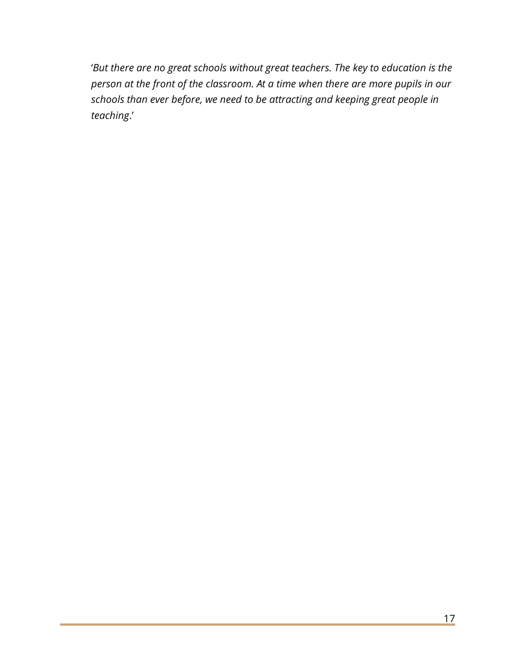<span id="page-16-0"></span>'*But there are no great schools without great teachers. The key to education is the person at the front of the classroom. At a time when there are more pupils in our schools than ever before, we need to be attracting and keeping great people in teaching*.'